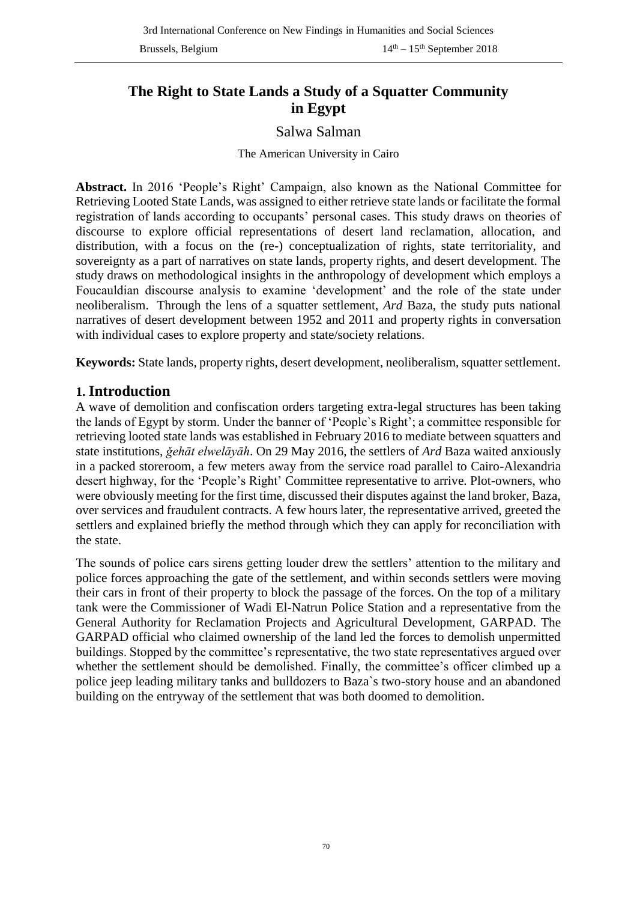# **The Right to State Lands a Study of a Squatter Community in Egypt**

### Salwa Salman

#### The American University in Cairo

**Abstract.** In 2016 'People's Right' Campaign, also known as the National Committee for Retrieving Looted State Lands, was assigned to either retrieve state lands or facilitate the formal registration of lands according to occupants' personal cases. This study draws on theories of discourse to explore official representations of desert land reclamation, allocation, and distribution, with a focus on the (re-) conceptualization of rights, state territoriality, and sovereignty as a part of narratives on state lands, property rights, and desert development. The study draws on methodological insights in the anthropology of development which employs a Foucauldian discourse analysis to examine 'development' and the role of the state under neoliberalism. Through the lens of a squatter settlement, *Ard* Baza, the study puts national narratives of desert development between 1952 and 2011 and property rights in conversation with individual cases to explore property and state/society relations.

**Keywords:** State lands, property rights, desert development, neoliberalism, squatter settlement.

### **1. Introduction**

A wave of demolition and confiscation orders targeting extra-legal structures has been taking the lands of Egypt by storm. Under the banner of 'People`s Right'; a committee responsible for retrieving looted state lands was established in February 2016 to mediate between squatters and state institutions, *ǧehāt elwelāyāh*. On 29 May 2016, the settlers of *Ard* Baza waited anxiously in a packed storeroom, a few meters away from the service road parallel to Cairo-Alexandria desert highway, for the 'People's Right' Committee representative to arrive. Plot-owners, who were obviously meeting for the first time, discussed their disputes against the land broker, Baza, over services and fraudulent contracts. A few hours later, the representative arrived, greeted the settlers and explained briefly the method through which they can apply for reconciliation with the state.

The sounds of police cars sirens getting louder drew the settlers' attention to the military and police forces approaching the gate of the settlement, and within seconds settlers were moving their cars in front of their property to block the passage of the forces. On the top of a military tank were the Commissioner of Wadi El-Natrun Police Station and a representative from the General Authority for Reclamation Projects and Agricultural Development, GARPAD. The GARPAD official who claimed ownership of the land led the forces to demolish unpermitted buildings. Stopped by the committee's representative, the two state representatives argued over whether the settlement should be demolished. Finally, the committee's officer climbed up a police jeep leading military tanks and bulldozers to Baza`s two-story house and an abandoned building on the entryway of the settlement that was both doomed to demolition.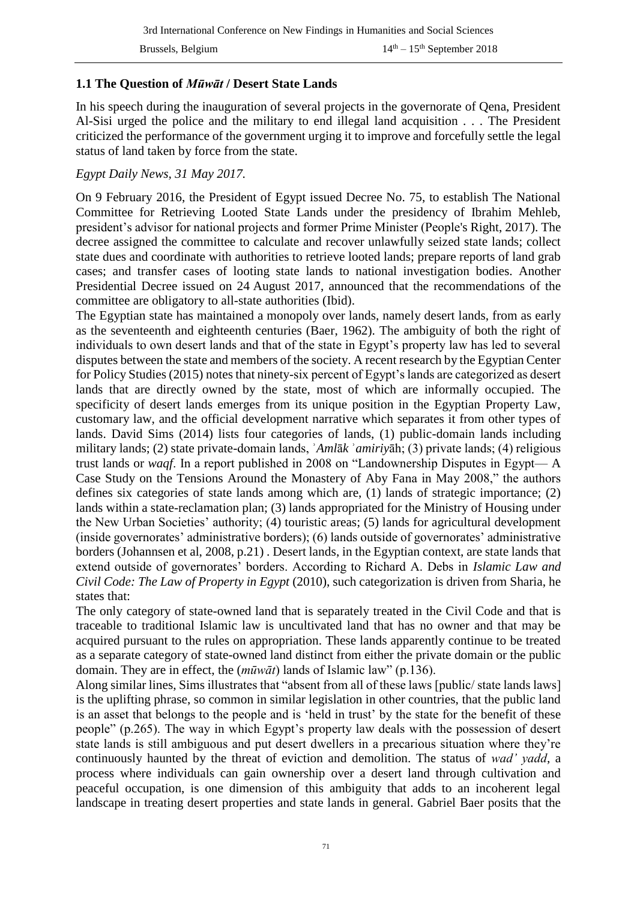### **1.1 The Question of** *Mūwāt* **/ Desert State Lands**

In his speech during the inauguration of several projects in the governorate of Qena, President Al-Sisi urged the police and the military to end illegal land acquisition . . . The President criticized the performance of the government urging it to improve and forcefully settle the legal status of land taken by force from the state.

#### *Egypt Daily News, 31 May 2017.*

On 9 February 2016, the President of Egypt issued Decree No. 75, to establish The National Committee for Retrieving Looted State Lands under the presidency of Ibrahim Mehleb, president's advisor for national projects and former Prime Minister (People's Right, 2017). The decree assigned the committee to calculate and recover unlawfully seized state lands; collect state dues and coordinate with authorities to retrieve looted lands; prepare reports of land grab cases; and transfer cases of looting state lands to national investigation bodies. Another Presidential Decree issued on 24 August 2017, announced that the recommendations of the committee are obligatory to all-state authorities (Ibid).

The Egyptian state has maintained a monopoly over lands, namely desert lands, from as early as the seventeenth and eighteenth centuries (Baer, 1962). The ambiguity of both the right of individuals to own desert lands and that of the state in Egypt's property law has led to several disputes between the state and members of the society. A recent research by the Egyptian Center for Policy Studies (2015) notes that ninety-six percent of Egypt's lands are categorized as desert lands that are directly owned by the state, most of which are informally occupied. The specificity of desert lands emerges from its unique position in the Egyptian Property Law, customary law, and the official development narrative which separates it from other types of lands. David Sims (2014) lists four categories of lands, (1) public-domain lands including military lands; (2) state private-domain lands, ʾ*Aml*ā*k* ʾ*amiriy*āh; (3) private lands; (4) religious trust lands or *waqf*. In a report published in 2008 on "Landownership Disputes in Egypt— A Case Study on the Tensions Around the Monastery of Aby Fana in May 2008," the authors defines six categories of state lands among which are, (1) lands of strategic importance; (2) lands within a state-reclamation plan; (3) lands appropriated for the Ministry of Housing under the New Urban Societies' authority; (4) touristic areas; (5) lands for agricultural development (inside governorates' administrative borders); (6) lands outside of governorates' administrative borders (Johannsen et al, 2008, p.21) . Desert lands, in the Egyptian context, are state lands that extend outside of governorates' borders. According to Richard A. Debs in *Islamic Law and Civil Code: The Law of Property in Egypt* (2010), such categorization is driven from Sharia, he states that:

The only category of state-owned land that is separately treated in the Civil Code and that is traceable to traditional Islamic law is uncultivated land that has no owner and that may be acquired pursuant to the rules on appropriation. These lands apparently continue to be treated as a separate category of state-owned land distinct from either the private domain or the public domain. They are in effect, the (*mūwāt*) lands of Islamic law" (p.136).

Along similar lines, Sims illustrates that "absent from all of these laws [public/ state lands laws] is the uplifting phrase, so common in similar legislation in other countries, that the public land is an asset that belongs to the people and is 'held in trust' by the state for the benefit of these people" (p.265). The way in which Egypt's property law deals with the possession of desert state lands is still ambiguous and put desert dwellers in a precarious situation where they're continuously haunted by the threat of eviction and demolition. The status of *wad' yadd*, a process where individuals can gain ownership over a desert land through cultivation and peaceful occupation, is one dimension of this ambiguity that adds to an incoherent legal landscape in treating desert properties and state lands in general. Gabriel Baer posits that the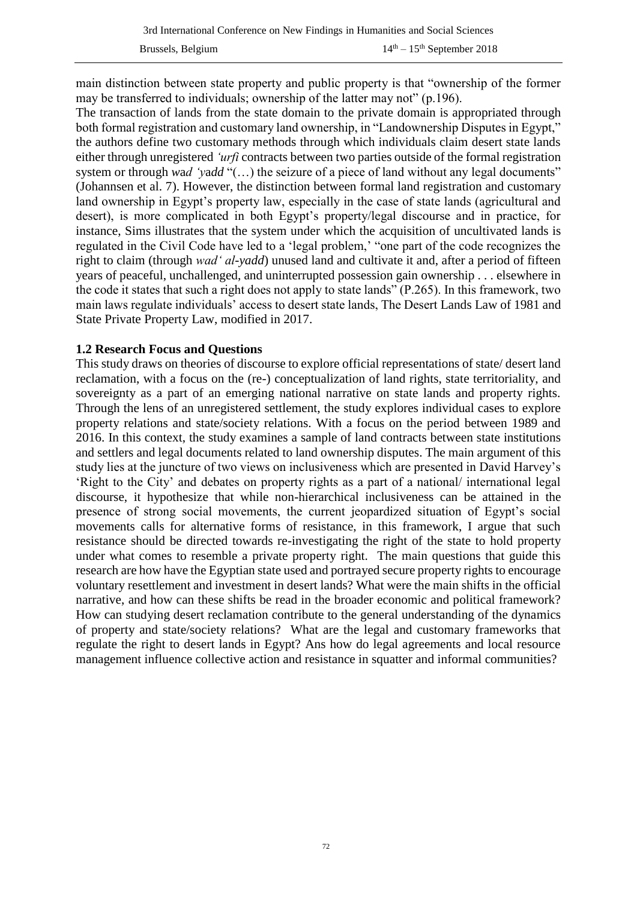main distinction between state property and public property is that "ownership of the former may be transferred to individuals; ownership of the latter may not" (p.196).

The transaction of lands from the state domain to the private domain is appropriated through both formal registration and customary land ownership, in "Landownership Disputes in Egypt," the authors define two customary methods through which individuals claim desert state lands either through unregistered *'urfi* contracts between two parties outside of the formal registration system or through *w*a*d 'y*a*dd* "(…) the seizure of a piece of land without any legal documents" (Johannsen et al. 7). However, the distinction between formal land registration and customary land ownership in Egypt's property law, especially in the case of state lands (agricultural and desert), is more complicated in both Egypt's property/legal discourse and in practice, for instance, Sims illustrates that the system under which the acquisition of uncultivated lands is regulated in the Civil Code have led to a 'legal problem,' "one part of the code recognizes the right to claim (through *wad' al-yadd*) unused land and cultivate it and, after a period of fifteen years of peaceful, unchallenged, and uninterrupted possession gain ownership . . . elsewhere in the code it states that such a right does not apply to state lands" (P.265). In this framework, two main laws regulate individuals' access to desert state lands, The Desert Lands Law of 1981 and State Private Property Law, modified in 2017.

#### **1.2 Research Focus and Questions**

This study draws on theories of discourse to explore official representations of state/ desert land reclamation, with a focus on the (re-) conceptualization of land rights, state territoriality, and sovereignty as a part of an emerging national narrative on state lands and property rights. Through the lens of an unregistered settlement, the study explores individual cases to explore property relations and state/society relations. With a focus on the period between 1989 and 2016. In this context, the study examines a sample of land contracts between state institutions and settlers and legal documents related to land ownership disputes. The main argument of this study lies at the juncture of two views on inclusiveness which are presented in David Harvey's 'Right to the City' and debates on property rights as a part of a national/ international legal discourse, it hypothesize that while non-hierarchical inclusiveness can be attained in the presence of strong social movements, the current jeopardized situation of Egypt's social movements calls for alternative forms of resistance, in this framework, I argue that such resistance should be directed towards re-investigating the right of the state to hold property under what comes to resemble a private property right. The main questions that guide this research are how have the Egyptian state used and portrayed secure property rights to encourage voluntary resettlement and investment in desert lands? What were the main shifts in the official narrative, and how can these shifts be read in the broader economic and political framework? How can studying desert reclamation contribute to the general understanding of the dynamics of property and state/society relations? What are the legal and customary frameworks that regulate the right to desert lands in Egypt? Ans how do legal agreements and local resource management influence collective action and resistance in squatter and informal communities?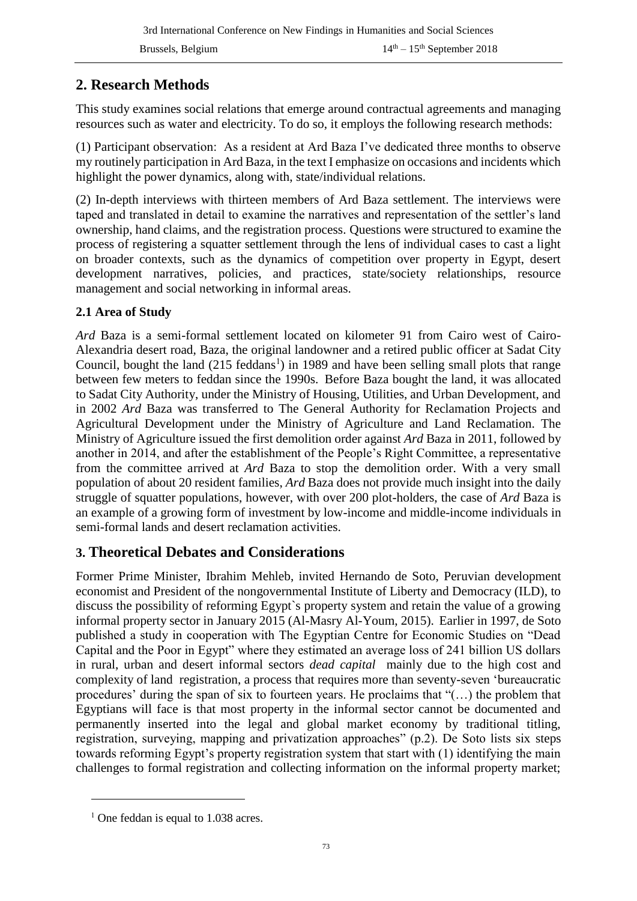# **2. Research Methods**

This study examines social relations that emerge around contractual agreements and managing resources such as water and electricity. To do so, it employs the following research methods:

(1) Participant observation: As a resident at Ard Baza I've dedicated three months to observe my routinely participation in Ard Baza, in the text I emphasize on occasions and incidents which highlight the power dynamics, along with, state/individual relations.

(2) In-depth interviews with thirteen members of Ard Baza settlement. The interviews were taped and translated in detail to examine the narratives and representation of the settler's land ownership, hand claims, and the registration process. Questions were structured to examine the process of registering a squatter settlement through the lens of individual cases to cast a light on broader contexts, such as the dynamics of competition over property in Egypt, desert development narratives, policies, and practices, state/society relationships, resource management and social networking in informal areas.

# **2.1 Area of Study**

*Ard* Baza is a semi-formal settlement located on kilometer 91 from Cairo west of Cairo-Alexandria desert road, Baza, the original landowner and a retired public officer at Sadat City Council, bought the land  $(215 \text{ feddans}^1)$  in 1989 and have been selling small plots that range between few meters to feddan since the 1990s. Before Baza bought the land, it was allocated to Sadat City Authority, under the Ministry of Housing, Utilities, and Urban Development, and in 2002 *Ard* Baza was transferred to The General Authority for Reclamation Projects and Agricultural Development under the Ministry of Agriculture and Land Reclamation. The Ministry of Agriculture issued the first demolition order against *Ard* Baza in 2011, followed by another in 2014, and after the establishment of the People's Right Committee, a representative from the committee arrived at *Ard* Baza to stop the demolition order. With a very small population of about 20 resident families, *Ard* Baza does not provide much insight into the daily struggle of squatter populations, however, with over 200 plot-holders, the case of *Ard* Baza is an example of a growing form of investment by low-income and middle-income individuals in semi-formal lands and desert reclamation activities.

# **3. Theoretical Debates and Considerations**

Former Prime Minister, Ibrahim Mehleb, invited Hernando de Soto, Peruvian development economist and President of the nongovernmental Institute of Liberty and Democracy (ILD), to discuss the possibility of reforming Egypt`s property system and retain the value of a growing informal property sector in January 2015 (Al-Masry Al-Youm, 2015). Earlier in 1997, de Soto published a study in cooperation with The Egyptian Centre for Economic Studies on "Dead Capital and the Poor in Egypt" where they estimated an average loss of 241 billion US dollars in rural, urban and desert informal sectors *dead capital* mainly due to the high cost and complexity of land registration, a process that requires more than seventy-seven 'bureaucratic procedures' during the span of six to fourteen years. He proclaims that "(…) the problem that Egyptians will face is that most property in the informal sector cannot be documented and permanently inserted into the legal and global market economy by traditional titling, registration, surveying, mapping and privatization approaches" (p.2). De Soto lists six steps towards reforming Egypt's property registration system that start with (1) identifying the main challenges to formal registration and collecting information on the informal property market;

1

 $<sup>1</sup>$  One feddan is equal to 1.038 acres.</sup>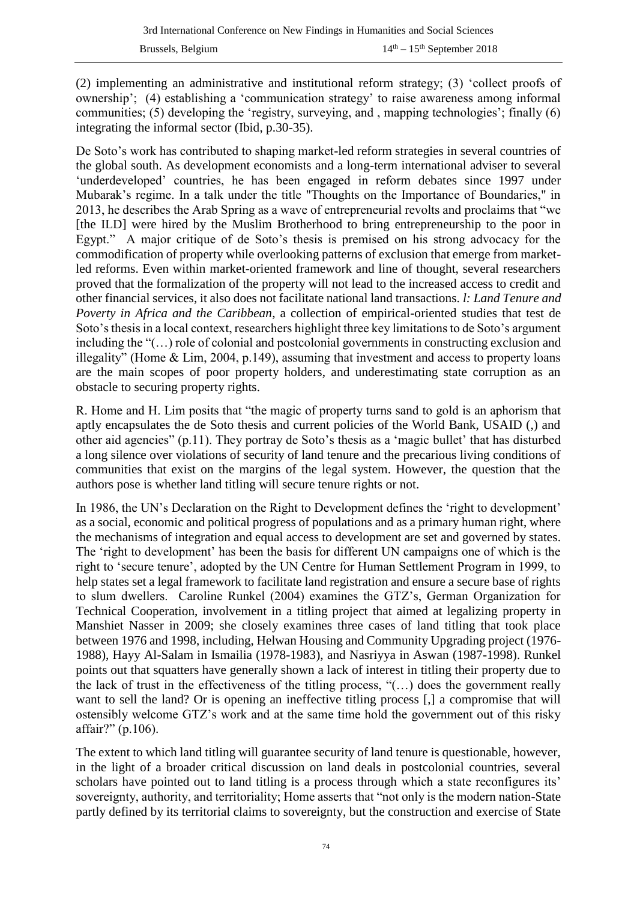(2) implementing an administrative and institutional reform strategy; (3) 'collect proofs of ownership'; (4) establishing a 'communication strategy' to raise awareness among informal communities; (5) developing the 'registry, surveying, and , mapping technologies'; finally (6) integrating the informal sector (Ibid, p.30-35).

De Soto's work has contributed to shaping market-led reform strategies in several countries of the global south. As development economists and a long-term international adviser to several 'underdeveloped' countries, he has been engaged in reform debates since 1997 under Mubarak's regime. In a talk under the title "Thoughts on the Importance of Boundaries," in 2013, he describes the Arab Spring as a wave of entrepreneurial revolts and proclaims that "we [the ILD] were hired by the Muslim Brotherhood to bring entrepreneurship to the poor in Egypt." A major critique of de Soto's thesis is premised on his strong advocacy for the commodification of property while overlooking patterns of exclusion that emerge from marketled reforms. Even within market-oriented framework and line of thought, several researchers proved that the formalization of the property will not lead to the increased access to credit and other financial services, it also does not facilitate national land transactions. *l: Land Tenure and Poverty in Africa and the Caribbean*, a collection of empirical-oriented studies that test de Soto's thesis in a local context, researchers highlight three key limitations to de Soto's argument including the "(…) role of colonial and postcolonial governments in constructing exclusion and illegality" (Home & Lim, 2004, p.149), assuming that investment and access to property loans are the main scopes of poor property holders, and underestimating state corruption as an obstacle to securing property rights.

R. Home and H. Lim posits that "the magic of property turns sand to gold is an aphorism that aptly encapsulates the de Soto thesis and current policies of the World Bank, USAID (,) and other aid agencies" (p.11). They portray de Soto's thesis as a 'magic bullet' that has disturbed a long silence over violations of security of land tenure and the precarious living conditions of communities that exist on the margins of the legal system. However, the question that the authors pose is whether land titling will secure tenure rights or not.

In 1986, the UN's Declaration on the Right to Development defines the 'right to development' as a social, economic and political progress of populations and as a primary human right, where the mechanisms of integration and equal access to development are set and governed by states. The 'right to development' has been the basis for different UN campaigns one of which is the right to 'secure tenure', adopted by the UN Centre for Human Settlement Program in 1999, to help states set a legal framework to facilitate land registration and ensure a secure base of rights to slum dwellers. Caroline Runkel (2004) examines the GTZ's, German Organization for Technical Cooperation, involvement in a titling project that aimed at legalizing property in Manshiet Nasser in 2009; she closely examines three cases of land titling that took place between 1976 and 1998, including, Helwan Housing and Community Upgrading project (1976- 1988), Hayy Al-Salam in Ismailia (1978-1983), and Nasriyya in Aswan (1987-1998). Runkel points out that squatters have generally shown a lack of interest in titling their property due to the lack of trust in the effectiveness of the titling process, "(…) does the government really want to sell the land? Or is opening an ineffective titling process [,] a compromise that will ostensibly welcome GTZ's work and at the same time hold the government out of this risky affair?" (p.106).

The extent to which land titling will guarantee security of land tenure is questionable, however, in the light of a broader critical discussion on land deals in postcolonial countries, several scholars have pointed out to land titling is a process through which a state reconfigures its' sovereignty, authority, and territoriality; Home asserts that "not only is the modern nation-State partly defined by its territorial claims to sovereignty, but the construction and exercise of State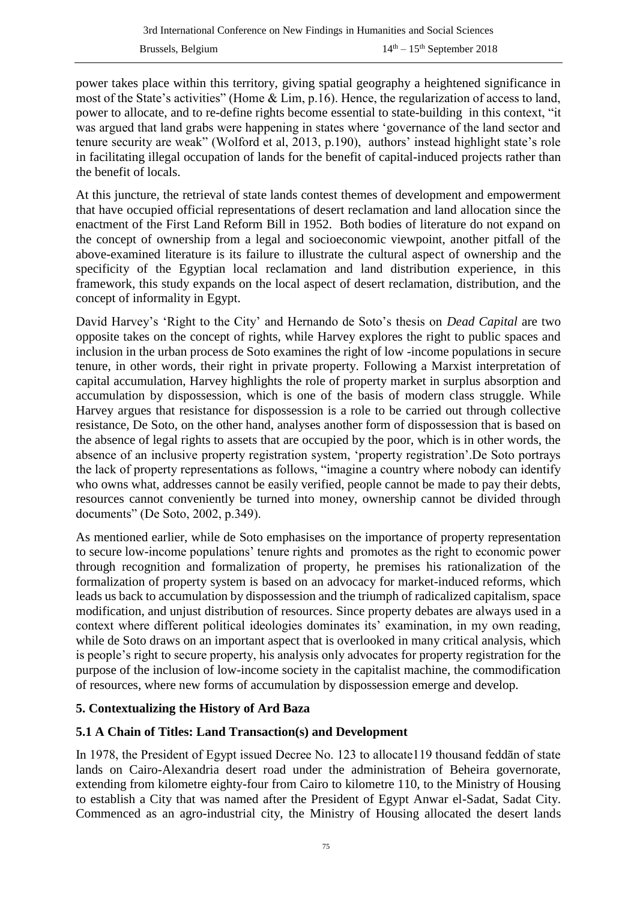power takes place within this territory, giving spatial geography a heightened significance in most of the State's activities" (Home & Lim, p.16). Hence, the regularization of access to land, power to allocate, and to re-define rights become essential to state-building in this context, "it was argued that land grabs were happening in states where 'governance of the land sector and tenure security are weak" (Wolford et al, 2013, p.190), authors' instead highlight state's role in facilitating illegal occupation of lands for the benefit of capital-induced projects rather than the benefit of locals.

At this juncture, the retrieval of state lands contest themes of development and empowerment that have occupied official representations of desert reclamation and land allocation since the enactment of the First Land Reform Bill in 1952. Both bodies of literature do not expand on the concept of ownership from a legal and socioeconomic viewpoint, another pitfall of the above-examined literature is its failure to illustrate the cultural aspect of ownership and the specificity of the Egyptian local reclamation and land distribution experience, in this framework, this study expands on the local aspect of desert reclamation, distribution, and the concept of informality in Egypt.

David Harvey's 'Right to the City' and Hernando de Soto's thesis on *Dead Capital* are two opposite takes on the concept of rights, while Harvey explores the right to public spaces and inclusion in the urban process de Soto examines the right of low -income populations in secure tenure, in other words, their right in private property. Following a Marxist interpretation of capital accumulation, Harvey highlights the role of property market in surplus absorption and accumulation by dispossession, which is one of the basis of modern class struggle. While Harvey argues that resistance for dispossession is a role to be carried out through collective resistance, De Soto, on the other hand, analyses another form of dispossession that is based on the absence of legal rights to assets that are occupied by the poor, which is in other words, the absence of an inclusive property registration system, 'property registration'.De Soto portrays the lack of property representations as follows, "imagine a country where nobody can identify who owns what, addresses cannot be easily verified, people cannot be made to pay their debts, resources cannot conveniently be turned into money, ownership cannot be divided through documents" (De Soto, 2002, p.349).

As mentioned earlier, while de Soto emphasises on the importance of property representation to secure low-income populations' tenure rights and promotes as the right to economic power through recognition and formalization of property, he premises his rationalization of the formalization of property system is based on an advocacy for market-induced reforms, which leads us back to accumulation by dispossession and the triumph of radicalized capitalism, space modification, and unjust distribution of resources. Since property debates are always used in a context where different political ideologies dominates its' examination, in my own reading, while de Soto draws on an important aspect that is overlooked in many critical analysis, which is people's right to secure property, his analysis only advocates for property registration for the purpose of the inclusion of low-income society in the capitalist machine, the commodification of resources, where new forms of accumulation by dispossession emerge and develop.

### **5. Contextualizing the History of Ard Baza**

### **5.1 A Chain of Titles: Land Transaction(s) and Development**

In 1978, the President of Egypt issued Decree No. 123 to allocate119 thousand feddān of state lands on Cairo-Alexandria desert road under the administration of Beheira governorate, extending from kilometre eighty-four from Cairo to kilometre 110, to the Ministry of Housing to establish a City that was named after the President of Egypt Anwar el-Sadat, Sadat City. Commenced as an agro-industrial city, the Ministry of Housing allocated the desert lands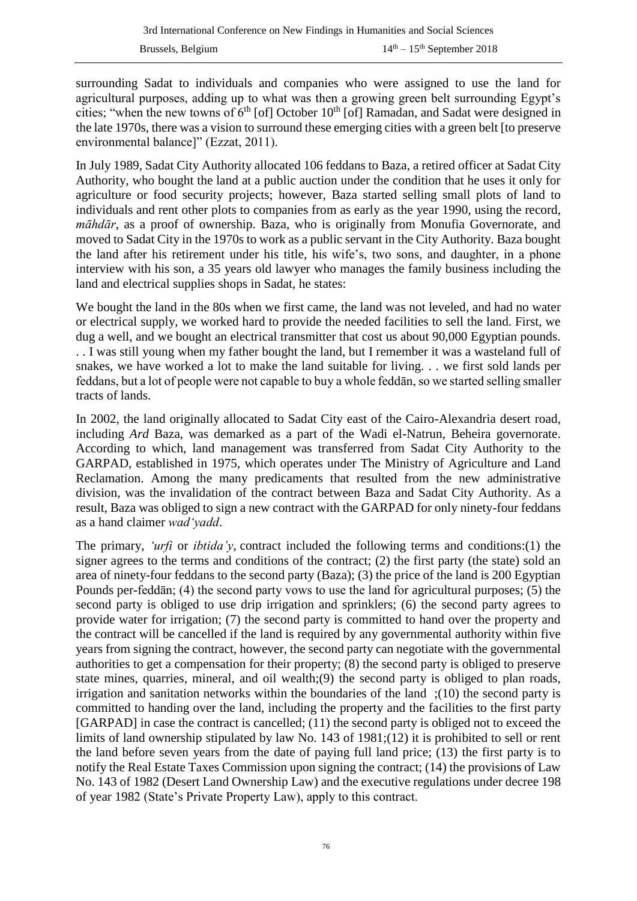surrounding Sadat to individuals and companies who were assigned to use the land for agricultural purposes, adding up to what was then a growing green belt surrounding Egypt's cities; "when the new towns of  $6<sup>th</sup>$  [of] October 10<sup>th</sup> [of] Ramadan, and Sadat were designed in the late 1970s, there was a vision to surround these emerging cities with a green belt [to preserve environmental balance]" (Ezzat, 2011).

In July 1989, Sadat City Authority allocated 106 feddans to Baza, a retired officer at Sadat City Authority, who bought the land at a public auction under the condition that he uses it only for agriculture or food security projects; however, Baza started selling small plots of land to individuals and rent other plots to companies from as early as the year 1990, using the record, *māhdār*, as a proof of ownership. Baza, who is originally from Monufia Governorate, and moved to Sadat City in the 1970s to work as a public servant in the City Authority. Baza bought the land after his retirement under his title, his wife's, two sons, and daughter, in a phone interview with his son, a 35 years old lawyer who manages the family business including the land and electrical supplies shops in Sadat, he states:

We bought the land in the 80s when we first came, the land was not leveled, and had no water or electrical supply, we worked hard to provide the needed facilities to sell the land. First, we dug a well, and we bought an electrical transmitter that cost us about 90,000 Egyptian pounds. . . I was still young when my father bought the land, but I remember it was a wasteland full of snakes, we have worked a lot to make the land suitable for living. . . we first sold lands per feddans, but a lot of people were not capable to buy a whole feddān, so we started selling smaller tracts of lands.

In 2002, the land originally allocated to Sadat City east of the Cairo-Alexandria desert road, including *Ard* Baza, was demarked as a part of the Wadi el-Natrun, Beheira governorate. According to which, land management was transferred from Sadat City Authority to the GARPAD, established in 1975, which operates under The Ministry of Agriculture and Land Reclamation. Among the many predicaments that resulted from the new administrative division, was the invalidation of the contract between Baza and Sadat City Authority. As a result, Baza was obliged to sign a new contract with the GARPAD for only ninety-four feddans as a hand claimer *wad'yadd*.

The primary, *'urfi* or *ibtida'y*, contract included the following terms and conditions:(1) the signer agrees to the terms and conditions of the contract; (2) the first party (the state) sold an area of ninety-four feddans to the second party (Baza); (3) the price of the land is 200 Egyptian Pounds per-feddān; (4) the second party vows to use the land for agricultural purposes; (5) the second party is obliged to use drip irrigation and sprinklers; (6) the second party agrees to provide water for irrigation; (7) the second party is committed to hand over the property and the contract will be cancelled if the land is required by any governmental authority within five years from signing the contract, however, the second party can negotiate with the governmental authorities to get a compensation for their property; (8) the second party is obliged to preserve state mines, quarries, mineral, and oil wealth;(9) the second party is obliged to plan roads, irrigation and sanitation networks within the boundaries of the land ;(10) the second party is committed to handing over the land, including the property and the facilities to the first party [GARPAD] in case the contract is cancelled; (11) the second party is obliged not to exceed the limits of land ownership stipulated by law No. 143 of 1981;(12) it is prohibited to sell or rent the land before seven years from the date of paying full land price; (13) the first party is to notify the Real Estate Taxes Commission upon signing the contract; (14) the provisions of Law No. 143 of 1982 (Desert Land Ownership Law) and the executive regulations under decree 198 of year 1982 (State's Private Property Law), apply to this contract.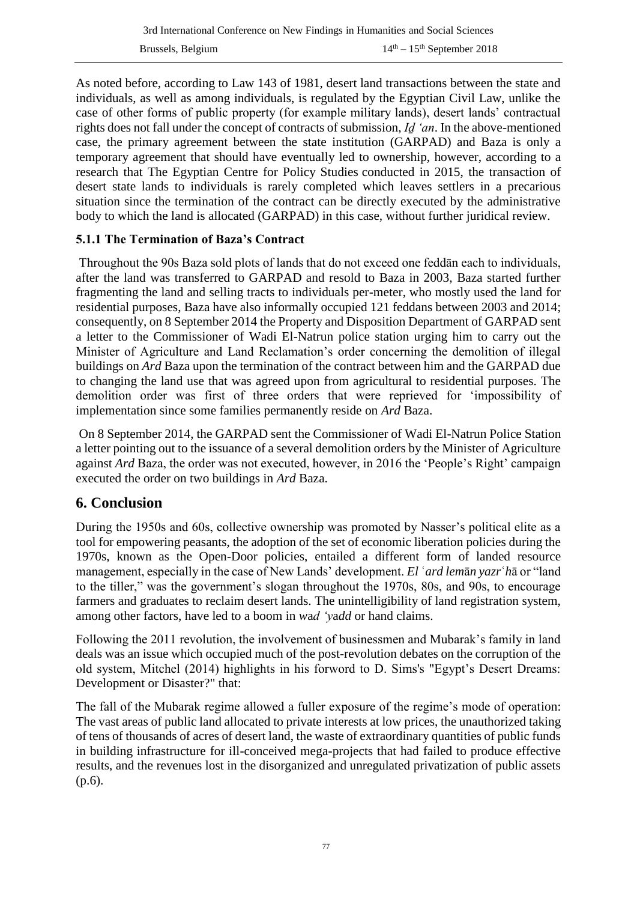As noted before, according to Law 143 of 1981, desert land transactions between the state and individuals, as well as among individuals, is regulated by the Egyptian Civil Law, unlike the case of other forms of public property (for example military lands), desert lands' contractual rights does not fall under the concept of contracts of submission, *Iḏ 'an*. In the above-mentioned case, the primary agreement between the state institution (GARPAD) and Baza is only a temporary agreement that should have eventually led to ownership, however, according to a research that The Egyptian Centre for Policy Studies conducted in 2015, the transaction of desert state lands to individuals is rarely completed which leaves settlers in a precarious situation since the termination of the contract can be directly executed by the administrative body to which the land is allocated (GARPAD) in this case, without further juridical review.

### **5.1.1 The Termination of Baza's Contract**

Throughout the 90s Baza sold plots of lands that do not exceed one feddān each to individuals, after the land was transferred to GARPAD and resold to Baza in 2003, Baza started further fragmenting the land and selling tracts to individuals per-meter, who mostly used the land for residential purposes, Baza have also informally occupied 121 feddans between 2003 and 2014; consequently, on 8 September 2014 the Property and Disposition Department of GARPAD sent a letter to the Commissioner of Wadi El-Natrun police station urging him to carry out the Minister of Agriculture and Land Reclamation's order concerning the demolition of illegal buildings on *Ard* Baza upon the termination of the contract between him and the GARPAD due to changing the land use that was agreed upon from agricultural to residential purposes. The demolition order was first of three orders that were reprieved for 'impossibility of implementation since some families permanently reside on *Ard* Baza.

On 8 September 2014, the GARPAD sent the Commissioner of Wadi El-Natrun Police Station a letter pointing out to the issuance of a several demolition orders by the Minister of Agriculture against *Ard* Baza, the order was not executed, however, in 2016 the 'People's Right' campaign executed the order on two buildings in *Ard* Baza.

# **6. Conclusion**

During the 1950s and 60s, collective ownership was promoted by Nasser's political elite as a tool for empowering peasants, the adoption of the set of economic liberation policies during the 1970s, known as the Open-Door policies, entailed a different form of landed resource management, especially in the case of New Lands' development. *El* ʿ*ard lem*ā*n yazr*ʿ*h*ā or "land to the tiller," was the government's slogan throughout the 1970s, 80s, and 90s, to encourage farmers and graduates to reclaim desert lands. The unintelligibility of land registration system, among other factors, have led to a boom in *w*a*d 'y*a*dd* or hand claims.

Following the 2011 revolution, the involvement of businessmen and Mubarak's family in land deals was an issue which occupied much of the post-revolution debates on the corruption of the old system, Mitchel (2014) highlights in his forword to D. Sims's "Egypt's Desert Dreams: Development or Disaster?" that:

The fall of the Mubarak regime allowed a fuller exposure of the regime's mode of operation: The vast areas of public land allocated to private interests at low prices, the unauthorized taking of tens of thousands of acres of desert land, the waste of extraordinary quantities of public funds in building infrastructure for ill-conceived mega-projects that had failed to produce effective results, and the revenues lost in the disorganized and unregulated privatization of public assets (p.6).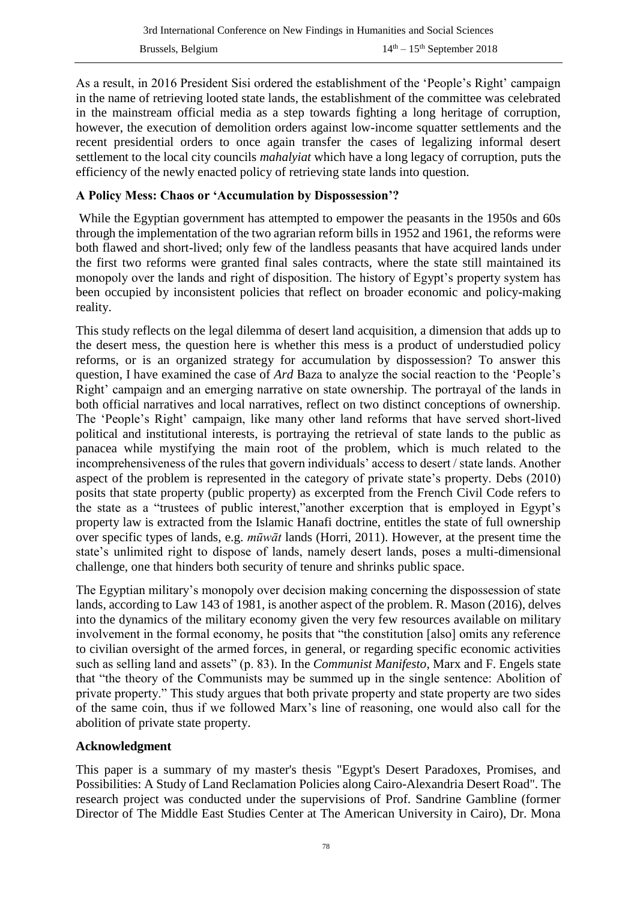As a result, in 2016 President Sisi ordered the establishment of the 'People's Right' campaign in the name of retrieving looted state lands, the establishment of the committee was celebrated in the mainstream official media as a step towards fighting a long heritage of corruption, however, the execution of demolition orders against low-income squatter settlements and the recent presidential orders to once again transfer the cases of legalizing informal desert settlement to the local city councils *mahalyiat* which have a long legacy of corruption, puts the efficiency of the newly enacted policy of retrieving state lands into question.

### **A Policy Mess: Chaos or 'Accumulation by Dispossession'?**

While the Egyptian government has attempted to empower the peasants in the 1950s and 60s through the implementation of the two agrarian reform bills in 1952 and 1961, the reforms were both flawed and short-lived; only few of the landless peasants that have acquired lands under the first two reforms were granted final sales contracts, where the state still maintained its monopoly over the lands and right of disposition. The history of Egypt's property system has been occupied by inconsistent policies that reflect on broader economic and policy-making reality.

This study reflects on the legal dilemma of desert land acquisition, a dimension that adds up to the desert mess, the question here is whether this mess is a product of understudied policy reforms, or is an organized strategy for accumulation by dispossession? To answer this question, I have examined the case of *Ard* Baza to analyze the social reaction to the 'People's Right' campaign and an emerging narrative on state ownership. The portrayal of the lands in both official narratives and local narratives, reflect on two distinct conceptions of ownership. The 'People's Right' campaign, like many other land reforms that have served short-lived political and institutional interests, is portraying the retrieval of state lands to the public as panacea while mystifying the main root of the problem, which is much related to the incomprehensiveness of the rules that govern individuals' access to desert / state lands. Another aspect of the problem is represented in the category of private state's property. Debs (2010) posits that state property (public property) as excerpted from the French Civil Code refers to the state as a "trustees of public interest,"another excerption that is employed in Egypt's property law is extracted from the Islamic Hanafi doctrine, entitles the state of full ownership over specific types of lands, e.g. *mūwāt* lands (Horri, 2011). However, at the present time the state's unlimited right to dispose of lands, namely desert lands, poses a multi-dimensional challenge, one that hinders both security of tenure and shrinks public space.

The Egyptian military's monopoly over decision making concerning the dispossession of state lands, according to Law 143 of 1981, is another aspect of the problem. R. Mason (2016), delves into the dynamics of the military economy given the very few resources available on military involvement in the formal economy, he posits that "the constitution [also] omits any reference to civilian oversight of the armed forces, in general, or regarding specific economic activities such as selling land and assets" (p. 83). In the *Communist Manifesto*, Marx and F. Engels state that "the theory of the Communists may be summed up in the single sentence: Abolition of private property." This study argues that both private property and state property are two sides of the same coin, thus if we followed Marx's line of reasoning, one would also call for the abolition of private state property.

#### **Acknowledgment**

This paper is a summary of my master's thesis "Egypt's Desert Paradoxes, Promises, and Possibilities: A Study of Land Reclamation Policies along Cairo-Alexandria Desert Road". The research project was conducted under the supervisions of Prof. Sandrine Gambline (former Director of The Middle East Studies Center at The American University in Cairo), Dr. Mona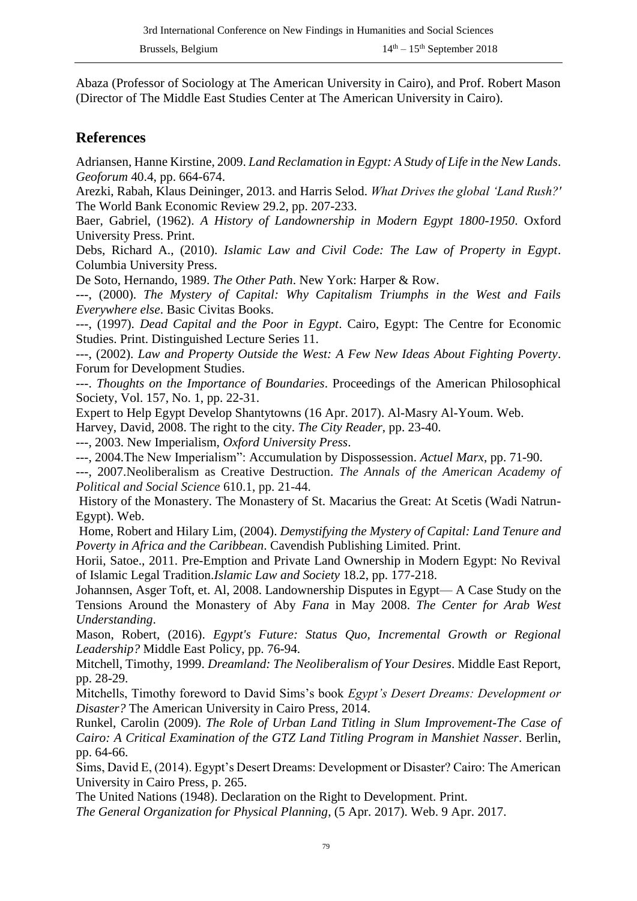Abaza (Professor of Sociology at The American University in Cairo), and Prof. Robert Mason (Director of The Middle East Studies Center at The American University in Cairo).

### **References**

Adriansen, Hanne Kirstine, 2009. *Land Reclamation in Egypt: A Study of Life in the New Lands*. *Geoforum* 40.4, pp. 664-674.

Arezki, Rabah, Klaus Deininger, 2013. and Harris Selod. *What Drives the global 'Land Rush?'* The World Bank Economic Review 29.2, pp. 207-233.

Baer, Gabriel, (1962). *A History of Landownership in Modern Egypt 1800-1950*. Oxford University Press. Print.

Debs, Richard A., (2010). *Islamic Law and Civil Code: The Law of Property in Egypt*. Columbia University Press.

De Soto, Hernando, 1989. *The Other Path*. New York: Harper & Row.

---, (2000). *The Mystery of Capital: Why Capitalism Triumphs in the West and Fails Everywhere else*. Basic Civitas Books.

---, (1997). *Dead Capital and the Poor in Egypt*. Cairo, Egypt: The Centre for Economic Studies. Print. Distinguished Lecture Series 11.

---, (2002). *Law and Property Outside the West: A Few New Ideas About Fighting Poverty*. Forum for Development Studies.

---. *Thoughts on the Importance of Boundaries*. Proceedings of the American Philosophical Society, Vol. 157, No. 1, pp. 22-31.

Expert to Help Egypt Develop Shantytowns (16 Apr. 2017). Al-Masry Al-Youm. Web.

Harvey, David, 2008. The right to the city. *The City Reader*, pp. 23-40.

---, 2003. New Imperialism, *Oxford University Press*.

---, 2004.The New Imperialism": Accumulation by Dispossession. *Actuel Marx*, pp. 71-90.

---, 2007.Neoliberalism as Creative Destruction. *The Annals of the American Academy of Political and Social Science* 610.1, pp. 21-44.

History of the Monastery. The Monastery of St. Macarius the Great: At Scetis (Wadi Natrun-Egypt). Web.

Home, Robert and Hilary Lim, (2004). *Demystifying the Mystery of Capital: Land Tenure and Poverty in Africa and the Caribbean*. Cavendish Publishing Limited. Print.

Horii, Satoe., 2011. Pre-Emption and Private Land Ownership in Modern Egypt: No Revival of Islamic Legal Tradition.*Islamic Law and Society* 18.2, pp. 177-218.

Johannsen, Asger Toft, et. Al, 2008. Landownership Disputes in Egypt— A Case Study on the Tensions Around the Monastery of Aby *Fana* in May 2008. *The Center for Arab West Understanding*.

Mason, Robert, (2016). *Egypt's Future: Status Quo, Incremental Growth or Regional Leadership?* Middle East Policy, pp. 76-94.

Mitchell, Timothy, 1999. *Dreamland: The Neoliberalism of Your Desires*. Middle East Report, pp. 28-29.

Mitchells, Timothy foreword to David Sims's book *Egypt's Desert Dreams: Development or Disaster?* The American University in Cairo Press, 2014.

Runkel, Carolin (2009). *The Role of Urban Land Titling in Slum Improvement-The Case of Cairo: A Critical Examination of the GTZ Land Titling Program in Manshiet Nasser*. Berlin, pp. 64-66.

Sims, David E, (2014). Egypt's Desert Dreams: Development or Disaster? Cairo: The American University in Cairo Press, p. 265.

The United Nations (1948). Declaration on the Right to Development. Print.

*The General Organization for Physical Planning*, (5 Apr. 2017). Web. 9 Apr. 2017.